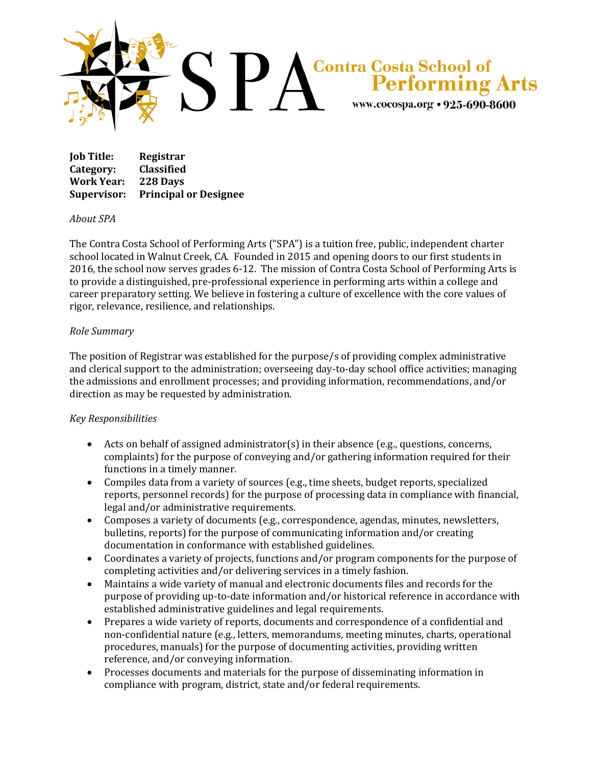

| <b>Job Title:</b> | Registrar                    |
|-------------------|------------------------------|
| Category:         | <b>Classified</b>            |
| <b>Work Year:</b> | 228 Days                     |
| Supervisor:       | <b>Principal or Designee</b> |

## *About SPA*

The Contra Costa School of Performing Arts ("SPA") is a tuition free, public, independent charter school located in Walnut Creek, CA. Founded in 2015 and opening doors to our first students in 2016, the school now serves grades 6-12. The mission of Contra Costa School of Performing Arts is to provide a distinguished, pre-professional experience in performing arts within a college and career preparatory setting. We believe in fostering a culture of excellence with the core values of rigor, relevance, resilience, and relationships.

## *Role Summary*

The position of Registrar was established for the purpose/s of providing complex administrative and clerical support to the administration; overseeing day-to-day school office activities; managing the admissions and enrollment processes; and providing information, recommendations, and/or direction as may be requested by administration.

## *Key Responsibilities*

- Acts on behalf of assigned administrator(s) in their absence (e.g., questions, concerns, complaints) for the purpose of conveying and/or gathering information required for their functions in a timely manner.
- Compiles data from a variety of sources (e.g., time sheets, budget reports, specialized reports, personnel records) for the purpose of processing data in compliance with financial, legal and/or administrative requirements.
- Composes a variety of documents (e.g., correspondence, agendas, minutes, newsletters, bulletins, reports) for the purpose of communicating information and/or creating documentation in conformance with established guidelines.
- Coordinates a variety of projects, functions and/or program components for the purpose of completing activities and/or delivering services in a timely fashion.
- Maintains a wide variety of manual and electronic documents files and records for the purpose of providing up-to-date information and/or historical reference in accordance with established administrative guidelines and legal requirements.
- Prepares a wide variety of reports, documents and correspondence of a confidential and non-confidential nature (e.g., letters, memorandums, meeting minutes, charts, operational procedures, manuals) for the purpose of documenting activities, providing written reference, and/or conveying information.
- Processes documents and materials for the purpose of disseminating information in compliance with program, district, state and/or federal requirements.